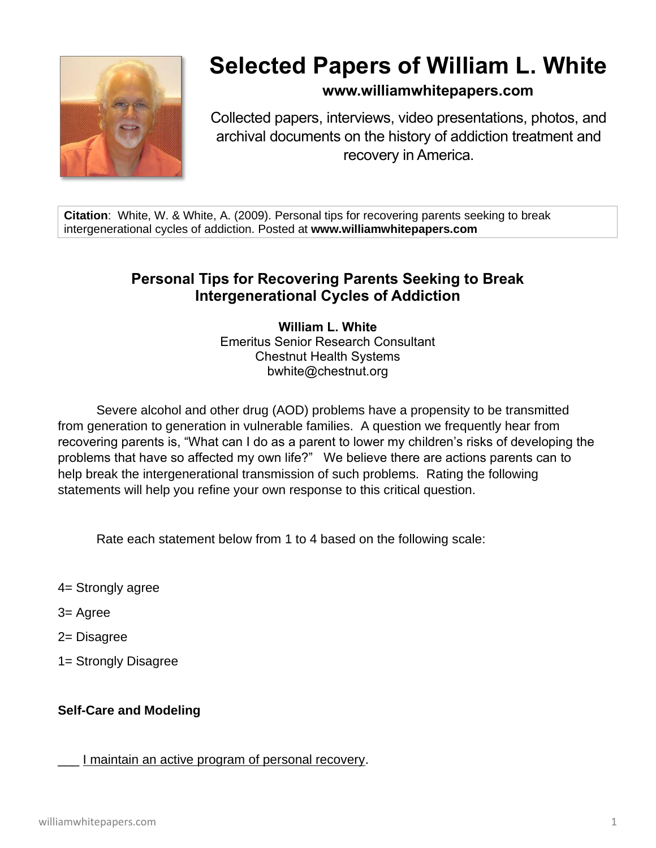

# **Selected Papers of William L. White**

**www.williamwhitepapers.com**

Collected papers, interviews, video presentations, photos, and archival documents on the history of addiction treatment and recovery in America.

**Citation**: White, W. & White, A. (2009). Personal tips for recovering parents seeking to break intergenerational cycles of addiction. Posted at **www.williamwhitepapers.com**

## **Personal Tips for Recovering Parents Seeking to Break Intergenerational Cycles of Addiction**

**William L. White** Emeritus Senior Research Consultant Chestnut Health Systems bwhite@chestnut.org

Severe alcohol and other drug (AOD) problems have a propensity to be transmitted from generation to generation in vulnerable families. A question we frequently hear from recovering parents is, "What can I do as a parent to lower my children's risks of developing the problems that have so affected my own life?" We believe there are actions parents can to help break the intergenerational transmission of such problems. Rating the following statements will help you refine your own response to this critical question.

Rate each statement below from 1 to 4 based on the following scale:

- 4= Strongly agree
- 3= Agree
- 2= Disagree
- 1= Strongly Disagree

### **Self-Care and Modeling**

I maintain an active program of personal recovery.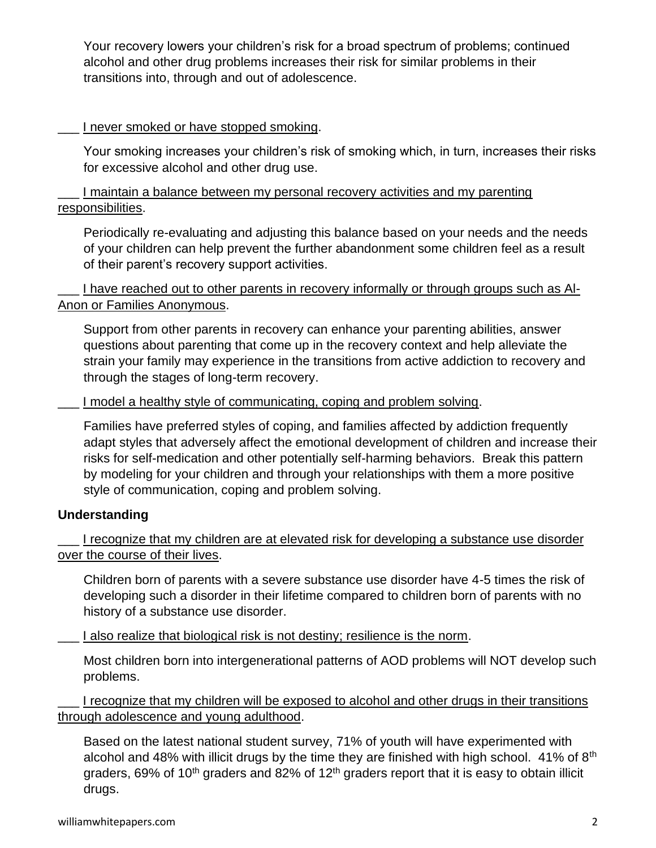Your recovery lowers your children's risk for a broad spectrum of problems; continued alcohol and other drug problems increases their risk for similar problems in their transitions into, through and out of adolescence.

#### I never smoked or have stopped smoking.

Your smoking increases your children's risk of smoking which, in turn, increases their risks for excessive alcohol and other drug use.

\_\_\_ I maintain a balance between my personal recovery activities and my parenting responsibilities.

Periodically re-evaluating and adjusting this balance based on your needs and the needs of your children can help prevent the further abandonment some children feel as a result of their parent's recovery support activities.

I have reached out to other parents in recovery informally or through groups such as Al-Anon or Families Anonymous.

Support from other parents in recovery can enhance your parenting abilities, answer questions about parenting that come up in the recovery context and help alleviate the strain your family may experience in the transitions from active addiction to recovery and through the stages of long-term recovery.

I model a healthy style of communicating, coping and problem solving.

Families have preferred styles of coping, and families affected by addiction frequently adapt styles that adversely affect the emotional development of children and increase their risks for self-medication and other potentially self-harming behaviors. Break this pattern by modeling for your children and through your relationships with them a more positive style of communication, coping and problem solving.

#### **Understanding**

I recognize that my children are at elevated risk for developing a substance use disorder over the course of their lives.

Children born of parents with a severe substance use disorder have 4-5 times the risk of developing such a disorder in their lifetime compared to children born of parents with no history of a substance use disorder.

I also realize that biological risk is not destiny; resilience is the norm.

Most children born into intergenerational patterns of AOD problems will NOT develop such problems.

I recognize that my children will be exposed to alcohol and other drugs in their transitions through adolescence and young adulthood.

Based on the latest national student survey, 71% of youth will have experimented with alcohol and 48% with illicit drugs by the time they are finished with high school.  $41\%$  of  $8<sup>th</sup>$ graders, 69% of 10<sup>th</sup> graders and 82% of 12<sup>th</sup> graders report that it is easy to obtain illicit drugs.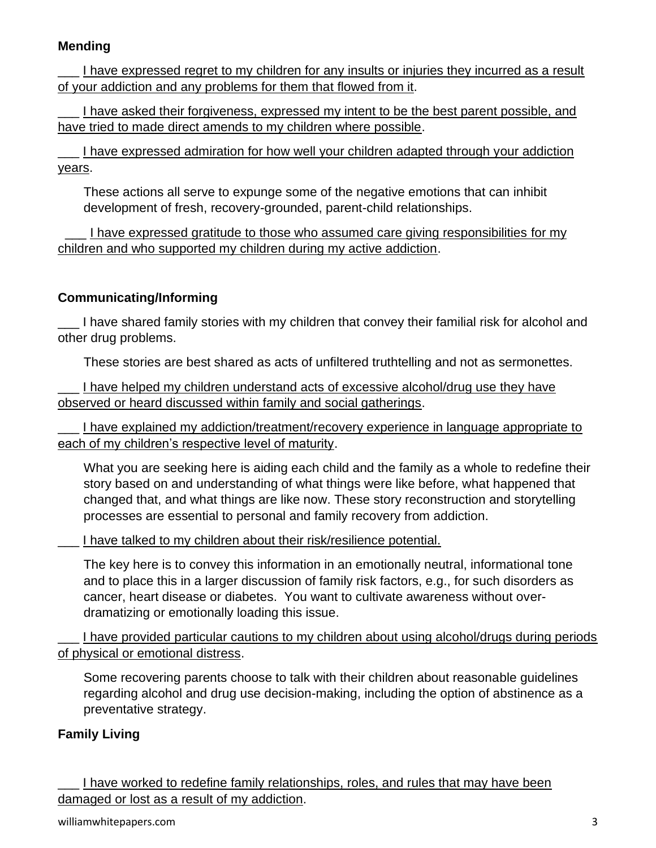#### **Mending**

I have expressed regret to my children for any insults or injuries they incurred as a result of your addiction and any problems for them that flowed from it.

I have asked their forgiveness, expressed my intent to be the best parent possible, and have tried to made direct amends to my children where possible.

\_\_\_ I have expressed admiration for how well your children adapted through your addiction years.

These actions all serve to expunge some of the negative emotions that can inhibit development of fresh, recovery-grounded, parent-child relationships.

I have expressed gratitude to those who assumed care giving responsibilities for my children and who supported my children during my active addiction.

#### **Communicating/Informing**

\_\_\_ I have shared family stories with my children that convey their familial risk for alcohol and other drug problems.

These stories are best shared as acts of unfiltered truthtelling and not as sermonettes.

I have helped my children understand acts of excessive alcohol/drug use they have observed or heard discussed within family and social gatherings.

I have explained my addiction/treatment/recovery experience in language appropriate to each of my children's respective level of maturity.

What you are seeking here is aiding each child and the family as a whole to redefine their story based on and understanding of what things were like before, what happened that changed that, and what things are like now. These story reconstruction and storytelling processes are essential to personal and family recovery from addiction.

I have talked to my children about their risk/resilience potential.

The key here is to convey this information in an emotionally neutral, informational tone and to place this in a larger discussion of family risk factors, e.g., for such disorders as cancer, heart disease or diabetes. You want to cultivate awareness without overdramatizing or emotionally loading this issue.

I have provided particular cautions to my children about using alcohol/drugs during periods of physical or emotional distress.

Some recovering parents choose to talk with their children about reasonable guidelines regarding alcohol and drug use decision-making, including the option of abstinence as a preventative strategy.

#### **Family Living**

I have worked to redefine family relationships, roles, and rules that may have been damaged or lost as a result of my addiction.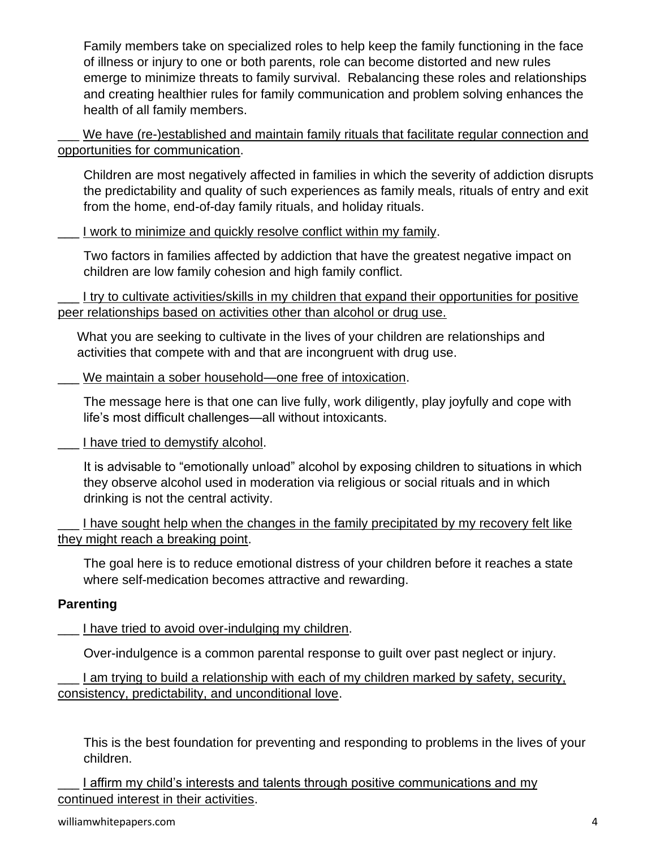Family members take on specialized roles to help keep the family functioning in the face of illness or injury to one or both parents, role can become distorted and new rules emerge to minimize threats to family survival. Rebalancing these roles and relationships and creating healthier rules for family communication and problem solving enhances the health of all family members.

We have (re-)established and maintain family rituals that facilitate regular connection and opportunities for communication.

Children are most negatively affected in families in which the severity of addiction disrupts the predictability and quality of such experiences as family meals, rituals of entry and exit from the home, end-of-day family rituals, and holiday rituals.

I work to minimize and quickly resolve conflict within my family.

Two factors in families affected by addiction that have the greatest negative impact on children are low family cohesion and high family conflict.

I try to cultivate activities/skills in my children that expand their opportunities for positive peer relationships based on activities other than alcohol or drug use.

What you are seeking to cultivate in the lives of your children are relationships and activities that compete with and that are incongruent with drug use.

We maintain a sober household—one free of intoxication.

The message here is that one can live fully, work diligently, play joyfully and cope with life's most difficult challenges—all without intoxicants.

I have tried to demystify alcohol.

It is advisable to "emotionally unload" alcohol by exposing children to situations in which they observe alcohol used in moderation via religious or social rituals and in which drinking is not the central activity.

I have sought help when the changes in the family precipitated by my recovery felt like they might reach a breaking point.

The goal here is to reduce emotional distress of your children before it reaches a state where self-medication becomes attractive and rewarding.

#### **Parenting**

I have tried to avoid over-indulging my children.

Over-indulgence is a common parental response to guilt over past neglect or injury.

I am trying to build a relationship with each of my children marked by safety, security, consistency, predictability, and unconditional love.

This is the best foundation for preventing and responding to problems in the lives of your children.

I affirm my child's interests and talents through positive communications and my continued interest in their activities.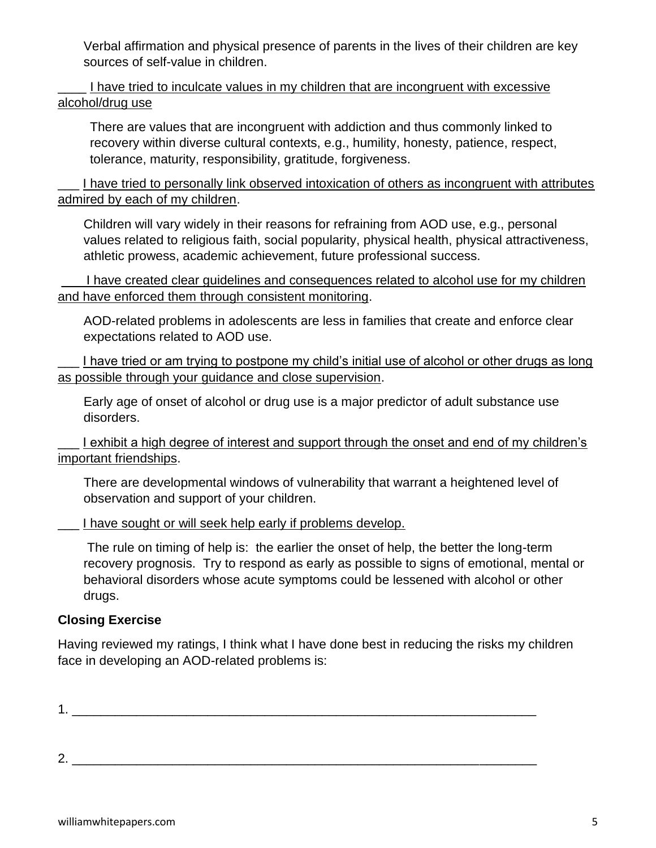Verbal affirmation and physical presence of parents in the lives of their children are key sources of self-value in children.

\_\_\_\_ I have tried to inculcate values in my children that are incongruent with excessive alcohol/drug use

There are values that are incongruent with addiction and thus commonly linked to recovery within diverse cultural contexts, e.g., humility, honesty, patience, respect, tolerance, maturity, responsibility, gratitude, forgiveness.

I have tried to personally link observed intoxication of others as incongruent with attributes admired by each of my children.

Children will vary widely in their reasons for refraining from AOD use, e.g., personal values related to religious faith, social popularity, physical health, physical attractiveness, athletic prowess, academic achievement, future professional success.

I have created clear guidelines and consequences related to alcohol use for my children and have enforced them through consistent monitoring.

AOD-related problems in adolescents are less in families that create and enforce clear expectations related to AOD use.

I have tried or am trying to postpone my child's initial use of alcohol or other drugs as long as possible through your guidance and close supervision.

Early age of onset of alcohol or drug use is a major predictor of adult substance use disorders.

I exhibit a high degree of interest and support through the onset and end of my children's important friendships.

There are developmental windows of vulnerability that warrant a heightened level of observation and support of your children.

I have sought or will seek help early if problems develop.

The rule on timing of help is: the earlier the onset of help, the better the long-term recovery prognosis. Try to respond as early as possible to signs of emotional, mental or behavioral disorders whose acute symptoms could be lessened with alcohol or other drugs.

#### **Closing Exercise**

Having reviewed my ratings, I think what I have done best in reducing the risks my children face in developing an AOD-related problems is:

1.  $\blacksquare$